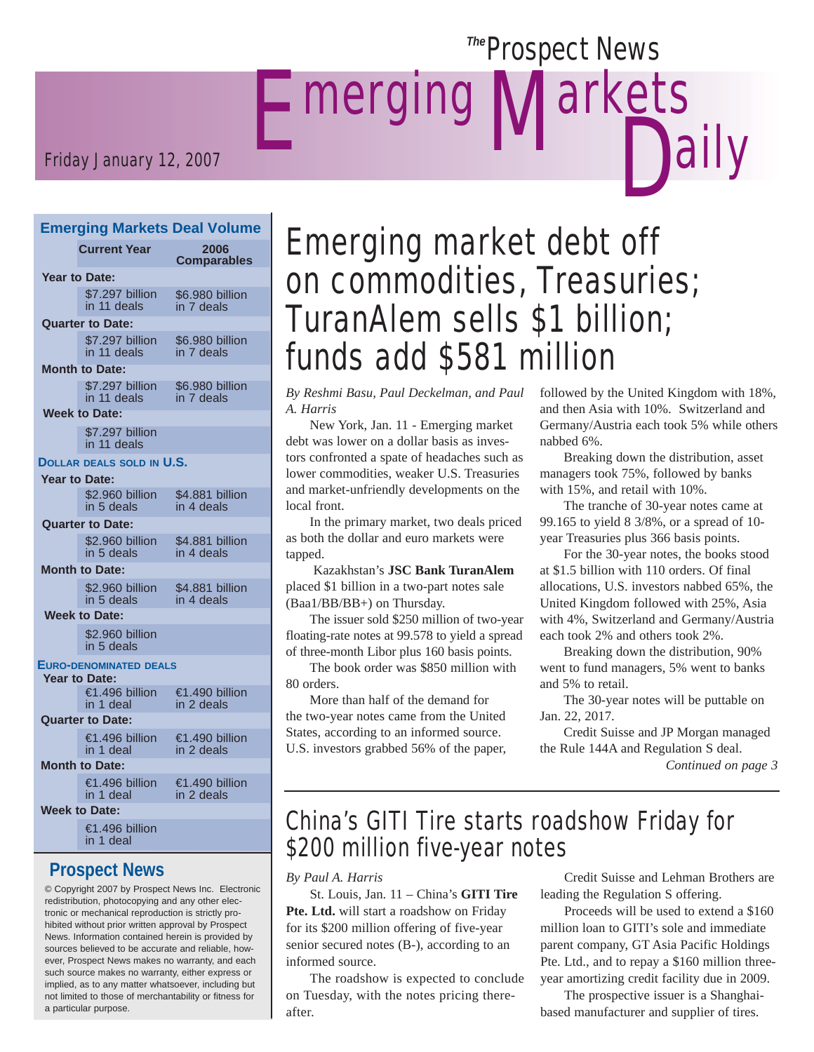# **E** merging **Dally Prospect News** larkets

### Friday January 12, 2007

#### **Emerging Markets Deal Volume**

|                         | <b>Current Year</b>                                   | 2006<br>Comparables           |  |  |
|-------------------------|-------------------------------------------------------|-------------------------------|--|--|
| <b>Year to Date:</b>    |                                                       |                               |  |  |
|                         | \$7.297 billion<br>in 11 deals                        | \$6.980 billion<br>in 7 deals |  |  |
|                         | <b>Quarter to Date:</b>                               |                               |  |  |
|                         | \$7.297 billion<br>in 11 deals                        | \$6.980 billion<br>in 7 deals |  |  |
|                         | <b>Month to Date:</b>                                 |                               |  |  |
|                         | \$7.297 billion<br>in 11 deals                        | \$6.980 billion<br>in 7 deals |  |  |
|                         | <b>Week to Date:</b>                                  |                               |  |  |
|                         | \$7.297 billion<br>in 11 deals                        |                               |  |  |
|                         | DOLLAR DEALS SOLD IN U.S.                             |                               |  |  |
|                         | <b>Year to Date:</b>                                  |                               |  |  |
|                         | \$2.960 billion<br>in 5 deals                         | \$4.881 billion<br>in 4 deals |  |  |
|                         | <b>Quarter to Date:</b>                               |                               |  |  |
|                         | \$2.960 billion<br>in 5 deals                         | \$4.881 billion<br>in 4 deals |  |  |
| <b>Month to Date:</b>   |                                                       |                               |  |  |
|                         | \$2.960 billion<br>in 5 deals                         | \$4.881 billion<br>in 4 deals |  |  |
| <b>Week to Date:</b>    |                                                       |                               |  |  |
|                         | \$2.960 billion<br>in 5 deals                         |                               |  |  |
|                         | <b>EURO-DENOMINATED DEALS</b><br><b>Year to Date:</b> |                               |  |  |
|                         | €1.496 billion<br>in 1 deal                           | €1.490 billion<br>in 2 deals  |  |  |
| <b>Quarter to Date:</b> |                                                       |                               |  |  |
|                         | €1.496 billion<br>in 1 deal                           | €1.490 billion<br>in 2 deals  |  |  |
| <b>Month to Date:</b>   |                                                       |                               |  |  |
|                         | €1.496 billion<br>in 1 deal                           | €1.490 billion<br>in 2 deals  |  |  |
| <b>Week to Date:</b>    |                                                       |                               |  |  |
|                         | €1.496 billion<br>in 1 deal                           |                               |  |  |

### **Prospect News**

© Copyright 2007 by Prospect News Inc. Electronic redistribution, photocopying and any other electronic or mechanical reproduction is strictly prohibited without prior written approval by Prospect News. Information contained herein is provided by sources believed to be accurate and reliable, however, Prospect News makes no warranty, and each such source makes no warranty, either express or implied, as to any matter whatsoever, including but not limited to those of merchantability or fitness for a particular purpose.

# Emerging market debt off on commodities, Treasuries; TuranAlem sells \$1 billion; funds add \$581 million

*By Reshmi Basu, Paul Deckelman, and Paul A. Harris*

 New York, Jan. 11 - Emerging market debt was lower on a dollar basis as investors confronted a spate of headaches such as lower commodities, weaker U.S. Treasuries and market-unfriendly developments on the local front.

 In the primary market, two deals priced as both the dollar and euro markets were tapped.

 Kazakhstan's **JSC Bank TuranAlem** placed \$1 billion in a two-part notes sale (Baa1/BB/BB+) on Thursday.

 The issuer sold \$250 million of two-year floating-rate notes at 99.578 to yield a spread of three-month Libor plus 160 basis points.

 The book order was \$850 million with 80 orders.

 More than half of the demand for the two-year notes came from the United States, according to an informed source. U.S. investors grabbed 56% of the paper, followed by the United Kingdom with 18%, and then Asia with 10%. Switzerland and Germany/Austria each took 5% while others nabbed 6%.

 Breaking down the distribution, asset managers took 75%, followed by banks with 15%, and retail with 10%.

 The tranche of 30-year notes came at 99.165 to yield 8 3/8%, or a spread of 10 year Treasuries plus 366 basis points.

 For the 30-year notes, the books stood at \$1.5 billion with 110 orders. Of final allocations, U.S. investors nabbed 65%, the United Kingdom followed with 25%, Asia with 4%, Switzerland and Germany/Austria each took 2% and others took 2%.

 Breaking down the distribution, 90% went to fund managers, 5% went to banks and 5% to retail.

 The 30-year notes will be puttable on Jan. 22, 2017.

 Credit Suisse and JP Morgan managed the Rule 144A and Regulation S deal.

*Continued on page 3*

# China's GITI Tire starts roadshow Friday for \$200 million five-year notes

*By Paul A. Harris*

 St. Louis, Jan. 11 – China's **GITI Tire**  Pte. Ltd. will start a roadshow on Friday for its \$200 million offering of five-year senior secured notes (B-), according to an informed source.

 The roadshow is expected to conclude on Tuesday, with the notes pricing thereafter.

 Credit Suisse and Lehman Brothers are leading the Regulation S offering.

 Proceeds will be used to extend a \$160 million loan to GITI's sole and immediate parent company, GT Asia Pacific Holdings Pte. Ltd., and to repay a \$160 million threeyear amortizing credit facility due in 2009.

 The prospective issuer is a Shanghaibased manufacturer and supplier of tires.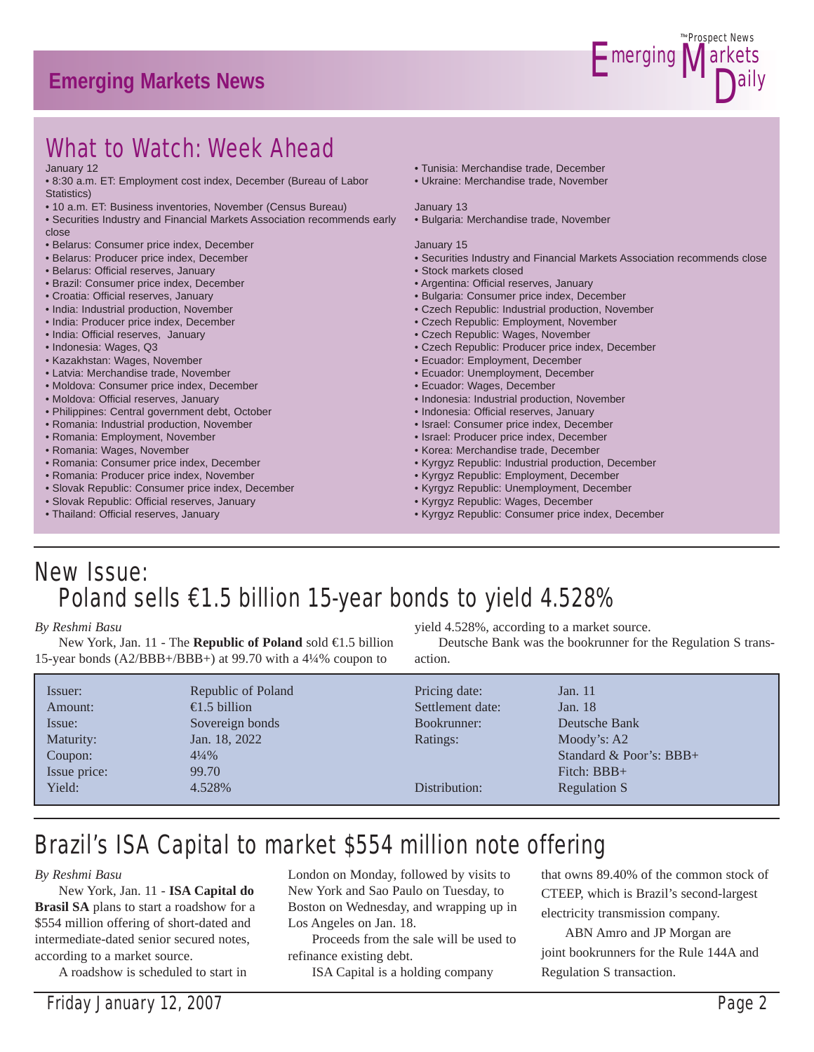# **Emerging Markets News**



# What to Watch: Week Ahead

#### January 12

- 8:30 a.m. ET: Employment cost index, December (Bureau of Labor Statistics)
- 10 a.m. ET: Business inventories, November (Census Bureau)
- Securities Industry and Financial Markets Association recommends early close
- Belarus: Consumer price index, December
- Belarus: Producer price index, December
- Belarus: Official reserves, January
- Brazil: Consumer price index, December
- Croatia: Official reserves, January
- India: Industrial production, November
- India: Producer price index, December
- India: Official reserves, January
- Indonesia: Wages, Q3
- Kazakhstan: Wages, November
- Latvia: Merchandise trade, November
- Moldova: Consumer price index, December
- Moldova: Official reserves, January
- Philippines: Central government debt, October
- Romania: Industrial production, November
- Romania: Employment, November
- Romania: Wages, November
- Romania: Consumer price index, December
- Romania: Producer price index, November
- Slovak Republic: Consumer price index, December
- Slovak Republic: Official reserves, January
- Thailand: Official reserves, January
- Tunisia: Merchandise trade, December
- Ukraine: Merchandise trade, November

#### January 13

• Bulgaria: Merchandise trade, November

#### January 15

- Securities Industry and Financial Markets Association recommends close
- Stock markets closed
- Argentina: Official reserves, January
- Bulgaria: Consumer price index, December
- Czech Republic: Industrial production, November
- Czech Republic: Employment, November
- Czech Republic: Wages, November
- Czech Republic: Producer price index, December
- Ecuador: Employment, December
- Ecuador: Unemployment, December
- Ecuador: Wages, December
- Indonesia: Industrial production, November
- Indonesia: Official reserves, January
- Israel: Consumer price index, December
- Israel: Producer price index, December
- Korea: Merchandise trade, December
- Kyrgyz Republic: Industrial production, December
- Kyrgyz Republic: Employment, December
- Kyrgyz Republic: Unemployment, December
- Kyrgyz Republic: Wages, December
- Kyrgyz Republic: Consumer price index, December

# New Issue: Poland sells €1.5 billion 15-year bonds to yield 4.528%

#### *By Reshmi Basu*

 New York, Jan. 11 - The **Republic of Poland** sold €1.5 billion 15-year bonds (A2/BBB+/BBB+) at 99.70 with a 4¼% coupon to

yield 4.528%, according to a market source.

 Deutsche Bank was the bookrunner for the Regulation S transaction.

| Issuer:      | Republic of Poland    | Pricing date:    | Jan. 11                   |
|--------------|-----------------------|------------------|---------------------------|
| Amount:      | $\epsilon$ .5 billion | Settlement date: | Jan. 18                   |
| Issue:       | Sovereign bonds       | Bookrunner:      | Deutsche Bank             |
| Maturity:    | Jan. 18, 2022         | Ratings:         | Moody's: $A2$             |
| Coupon:      | $4\frac{1}{4}\%$      |                  | Standard & Poor's: $BBB+$ |
| Issue price: | 99.70                 | Distribution:    | Fitch: $BBB+$             |
| Yield:       | 4.528%                |                  | Regulation S              |

# Brazil's ISA Capital to market \$554 million note offering

#### *By Reshmi Basu*

 New York, Jan. 11 - **ISA Capital do Brasil SA** plans to start a roadshow for a \$554 million offering of short-dated and intermediate-dated senior secured notes, according to a market source.

A roadshow is scheduled to start in

London on Monday, followed by visits to New York and Sao Paulo on Tuesday, to Boston on Wednesday, and wrapping up in Los Angeles on Jan. 18.

 Proceeds from the sale will be used to refinance existing debt.

ISA Capital is a holding company

that owns 89.40% of the common stock of CTEEP, which is Brazil's second-largest electricity transmission company.

 ABN Amro and JP Morgan are joint bookrunners for the Rule 144A and Regulation S transaction.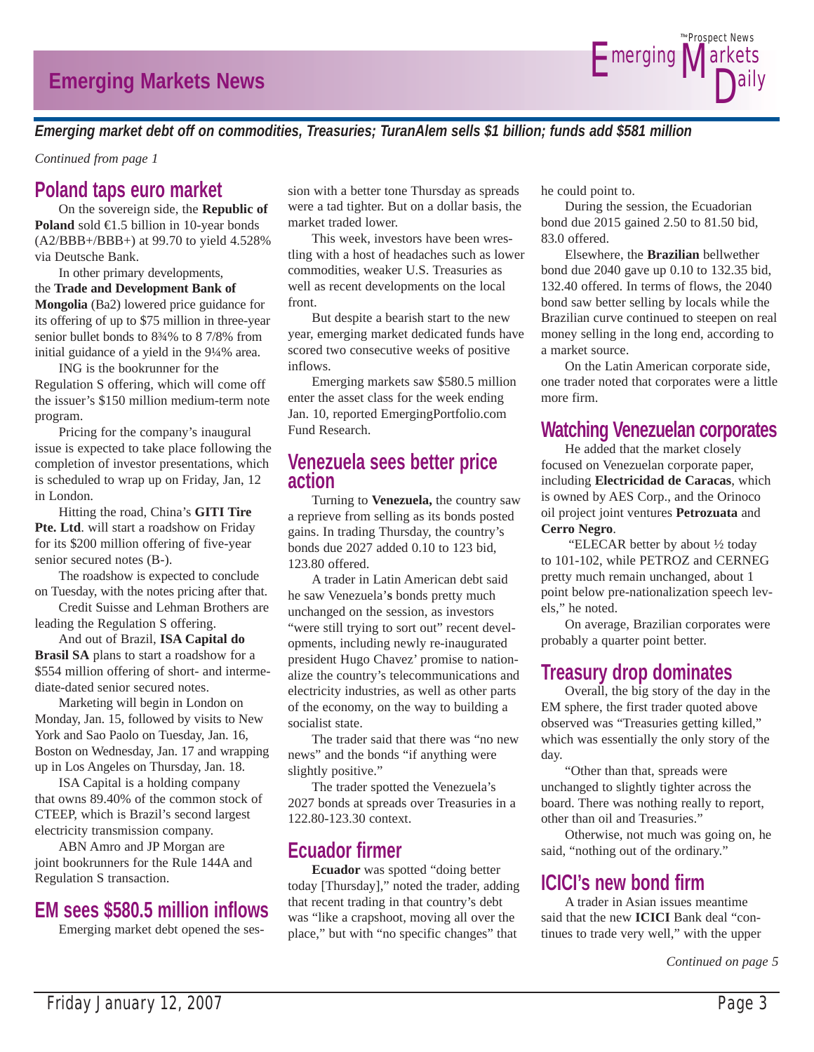

*Emerging market debt off on commodities, Treasuries; TuranAlem sells \$1 billion; funds add \$581 million*

*Continued from page 1*

# **Poland taps euro market**

 On the sovereign side, the **Republic of Poland** sold  $\in$ 1.5 billion in 10-year bonds (A2/BBB+/BBB+) at 99.70 to yield 4.528% via Deutsche Bank.

 In other primary developments, the **Trade and Development Bank of Mongolia** (Ba2) lowered price guidance for its offering of up to \$75 million in three-year senior bullet bonds to 8¾% to 8 7/8% from initial guidance of a yield in the 9¼% area.

 ING is the bookrunner for the Regulation S offering, which will come off the issuer's \$150 million medium-term note program.

 Pricing for the company's inaugural issue is expected to take place following the completion of investor presentations, which is scheduled to wrap up on Friday, Jan, 12 in London.

 Hitting the road, China's **GITI Tire Pte. Ltd**. will start a roadshow on Friday for its \$200 million offering of five-year senior secured notes (B-).

 The roadshow is expected to conclude on Tuesday, with the notes pricing after that.

 Credit Suisse and Lehman Brothers are leading the Regulation S offering.

 And out of Brazil, **ISA Capital do Brasil SA** plans to start a roadshow for a \$554 million offering of short- and intermediate-dated senior secured notes.

 Marketing will begin in London on Monday, Jan. 15, followed by visits to New York and Sao Paolo on Tuesday, Jan. 16, Boston on Wednesday, Jan. 17 and wrapping up in Los Angeles on Thursday, Jan. 18.

 ISA Capital is a holding company that owns 89.40% of the common stock of CTEEP, which is Brazil's second largest electricity transmission company.

 ABN Amro and JP Morgan are joint bookrunners for the Rule 144A and Regulation S transaction.

# **EM sees \$580.5 million inflows**

Emerging market debt opened the ses-

sion with a better tone Thursday as spreads were a tad tighter. But on a dollar basis, the market traded lower.

 This week, investors have been wrestling with a host of headaches such as lower commodities, weaker U.S. Treasuries as well as recent developments on the local front.

 But despite a bearish start to the new year, emerging market dedicated funds have scored two consecutive weeks of positive inflows.

 Emerging markets saw \$580.5 million enter the asset class for the week ending Jan. 10, reported EmergingPortfolio.com Fund Research.

### **Venezuela sees better price action**

 Turning to **Venezuela,** the country saw a reprieve from selling as its bonds posted gains. In trading Thursday, the country's bonds due 2027 added 0.10 to 123 bid, 123.80 offered.

 A trader in Latin American debt said he saw Venezuela'**s** bonds pretty much unchanged on the session, as investors "were still trying to sort out" recent developments, including newly re-inaugurated president Hugo Chavez' promise to nationalize the country's telecommunications and electricity industries, as well as other parts of the economy, on the way to building a socialist state.

 The trader said that there was "no new news" and the bonds "if anything were slightly positive."

 The trader spotted the Venezuela's 2027 bonds at spreads over Treasuries in a 122.80-123.30 context.

# **Ecuador firmer**

**Ecuador** was spotted "doing better today [Thursday]," noted the trader, adding that recent trading in that country's debt was "like a crapshoot, moving all over the place," but with "no specific changes" that

he could point to.

 During the session, the Ecuadorian bond due 2015 gained 2.50 to 81.50 bid, 83.0 offered.

 Elsewhere, the **Brazilian** bellwether bond due 2040 gave up 0.10 to 132.35 bid, 132.40 offered. In terms of flows, the 2040 bond saw better selling by locals while the Brazilian curve continued to steepen on real money selling in the long end, according to a market source.

 On the Latin American corporate side, one trader noted that corporates were a little more firm.

### **Watching Venezuelan corporates**

 He added that the market closely focused on Venezuelan corporate paper, including **Electricidad de Caracas**, which is owned by AES Corp., and the Orinoco oil project joint ventures **Petrozuata** and **Cerro Negro**.

 "ELECAR better by about ½ today to 101-102, while PETROZ and CERNEG pretty much remain unchanged, about 1 point below pre-nationalization speech levels," he noted.

 On average, Brazilian corporates were probably a quarter point better.

# **Treasury drop dominates**

 Overall, the big story of the day in the EM sphere, the first trader quoted above observed was "Treasuries getting killed," which was essentially the only story of the day.

 "Other than that, spreads were unchanged to slightly tighter across the board. There was nothing really to report, other than oil and Treasuries."

 Otherwise, not much was going on, he said, "nothing out of the ordinary."

# **ICICI's new bond firm**

 A trader in Asian issues meantime said that the new **ICICI** Bank deal "continues to trade very well," with the upper

*Continued on page 5*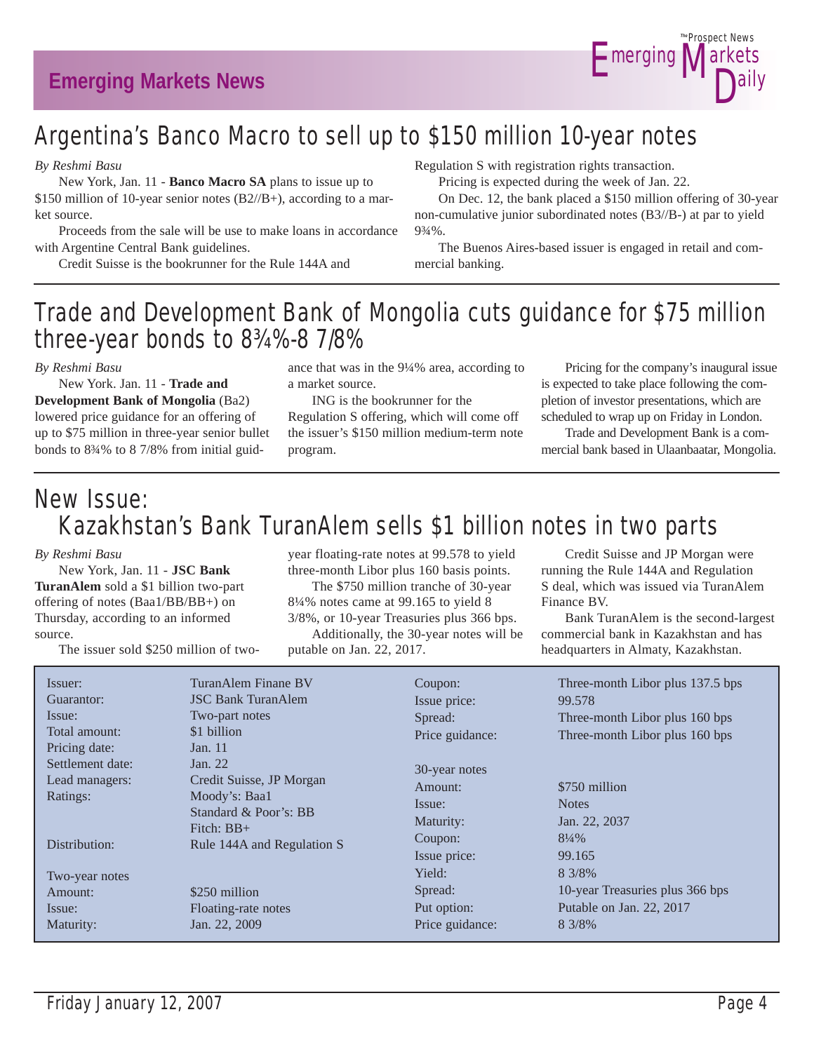

# Argentina's Banco Macro to sell up to \$150 million 10-year notes

*By Reshmi Basu*

 New York, Jan. 11 - **Banco Macro SA** plans to issue up to \$150 million of 10-year senior notes (B2//B+), according to a market source.

 Proceeds from the sale will be use to make loans in accordance with Argentine Central Bank guidelines.

Credit Suisse is the bookrunner for the Rule 144A and

Regulation S with registration rights transaction.

Pricing is expected during the week of Jan. 22.

 On Dec. 12, the bank placed a \$150 million offering of 30-year non-cumulative junior subordinated notes (B3//B-) at par to yield 9¾%.

 The Buenos Aires-based issuer is engaged in retail and commercial banking.

# Trade and Development Bank of Mongolia cuts guidance for \$75 million three-year bonds to 8¾%-8 7/8%

*By Reshmi Basu*

 New York. Jan. 11 - **Trade and Development Bank of Mongolia** (Ba2) lowered price guidance for an offering of up to \$75 million in three-year senior bullet bonds to 8¾% to 8 7/8% from initial guidance that was in the 9¼% area, according to a market source.

 ING is the bookrunner for the Regulation S offering, which will come off the issuer's \$150 million medium-term note program.

 Pricing for the company's inaugural issue is expected to take place following the completion of investor presentations, which are scheduled to wrap up on Friday in London.

 Trade and Development Bank is a commercial bank based in Ulaanbaatar, Mongolia.

# New Issue: Kazakhstan's Bank TuranAlem sells \$1 billion notes in two parts

#### *By Reshmi Basu*

 New York, Jan. 11 - **JSC Bank TuranAlem** sold a \$1 billion two-part offering of notes (Baa1/BB/BB+) on Thursday, according to an informed source.

The issuer sold \$250 million of two-

year floating-rate notes at 99.578 to yield three-month Libor plus 160 basis points.

 The \$750 million tranche of 30-year 8¼% notes came at 99.165 to yield 8 3/8%, or 10-year Treasuries plus 366 bps. Additionally, the 30-year notes will be putable on Jan. 22, 2017.

S deal, which was issued via TuranAlem Finance BV. Bank TuranAlem is the second-largest commercial bank in Kazakhstan and has

headquarters in Almaty, Kazakhstan.

 Credit Suisse and JP Morgan were running the Rule 144A and Regulation

| Issuer:<br>Guarantor:<br>Issue:<br>Total amount:<br>Pricing date: | TuranAlem Finane BV<br><b>JSC Bank TuranAlem</b><br>Two-part notes<br>\$1 billion<br>Jan. 11                                | Coupon:<br>Issue price:<br>Spread:<br>Price guidance:               | Three-month Libor plus 137.5 bps<br>99.578<br>Three-month Libor plus 160 bps<br>Three-month Libor plus 160 bps |
|-------------------------------------------------------------------|-----------------------------------------------------------------------------------------------------------------------------|---------------------------------------------------------------------|----------------------------------------------------------------------------------------------------------------|
| Settlement date:<br>Lead managers:<br>Ratings:<br>Distribution:   | Jan. 22<br>Credit Suisse, JP Morgan<br>Moody's: Baa1<br>Standard & Poor's: BB<br>Fitch: $BB+$<br>Rule 144A and Regulation S | 30-year notes<br>Amount:<br>Issue:<br>Maturity:<br>Coupon:          | \$750 million<br><b>Notes</b><br>Jan. 22, 2037<br>$8\frac{1}{4}\%$                                             |
| Two-year notes<br>Amount:<br>Issue:<br>Maturity:                  | \$250 million<br>Floating-rate notes<br>Jan. 22, 2009                                                                       | Issue price:<br>Yield:<br>Spread:<br>Put option:<br>Price guidance: | 99.165<br>8 3/8%<br>10-year Treasuries plus 366 bps<br>Putable on Jan. 22, 2017<br>8 3/8%                      |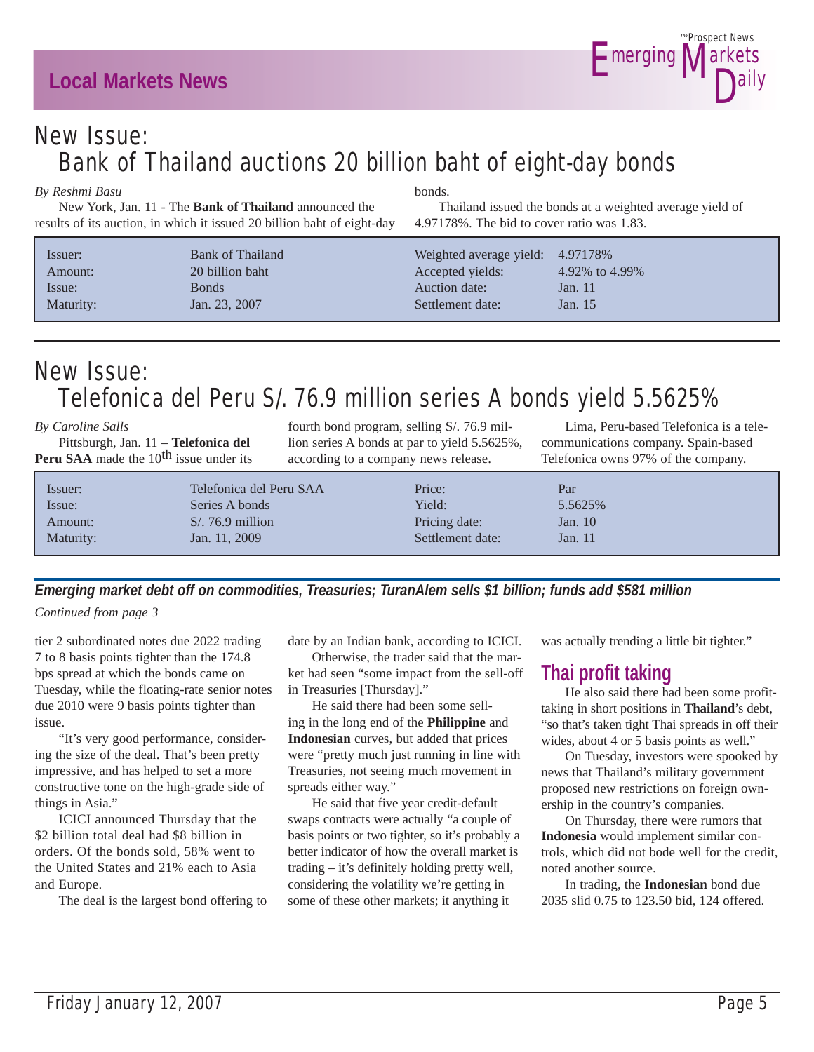# **Local Markets News**



# New Issue: Bank of Thailand auctions 20 billion baht of eight-day bonds

bonds.

#### *By Reshmi Basu*

 New York, Jan. 11 - The **Bank of Thailand** announced the results of its auction, in which it issued 20 billion baht of eight-day

| Issuer:<br>Amount: | <b>Bank of Thailand</b><br>20 billion baht | Weighted average yield: 4.97178%<br>Accepted yields: | 4.92\% to 4.99\% |
|--------------------|--------------------------------------------|------------------------------------------------------|------------------|
| Issue:             | <b>Bonds</b>                               | Auction date:                                        | Jan. $11$        |
| Maturity:          | Jan. 23, 2007                              | Settlement date:                                     | Jan. 15          |

# New Issue: Telefonica del Peru S/. 76.9 million series A bonds yield 5.5625%

| By Caroline Salls                                         |                         | fourth bond program, selling S/. 76.9 mil-   | Lima, Peru-based Telefonica is a tele- |
|-----------------------------------------------------------|-------------------------|----------------------------------------------|----------------------------------------|
| Pittsburgh, Jan. 11 - Telefonica del                      |                         | lion series A bonds at par to yield 5.5625%, | communications company. Spain-based    |
| <b>Peru SAA</b> made the 10 <sup>th</sup> issue under its |                         | according to a company news release.         | Telefonica owns 97% of the company.    |
| Issuer:                                                   | Telefonica del Peru SAA | Price:                                       | Par                                    |
| Issue <sup>.</sup>                                        | Series A bonds          | Yield <sup>.</sup>                           | 5 5625%                                |

| Issuer:   | Telefonica del Peru SAA | Price:           | Par       |
|-----------|-------------------------|------------------|-----------|
| Issue:    | Series A bonds          | Yield:           | 5.5625%   |
| Amount:   | $S/76.9$ million        | Pricing date:    | Jan. $10$ |
| Maturity: | Jan. 11, 2009           | Settlement date: | Jan. 11   |
|           |                         |                  |           |

*Emerging market debt off on commodities, Treasuries; TuranAlem sells \$1 billion; funds add \$581 million Continued from page 3*

tier 2 subordinated notes due 2022 trading 7 to 8 basis points tighter than the 174.8 bps spread at which the bonds came on Tuesday, while the floating-rate senior notes due 2010 were 9 basis points tighter than issue.

 "It's very good performance, considering the size of the deal. That's been pretty impressive, and has helped to set a more constructive tone on the high-grade side of things in Asia."

 ICICI announced Thursday that the \$2 billion total deal had \$8 billion in orders. Of the bonds sold, 58% went to the United States and 21% each to Asia and Europe.

The deal is the largest bond offering to

date by an Indian bank, according to ICICI.

 Otherwise, the trader said that the market had seen "some impact from the sell-off in Treasuries [Thursday]."

 He said there had been some selling in the long end of the **Philippine** and **Indonesian** curves, but added that prices were "pretty much just running in line with Treasuries, not seeing much movement in spreads either way."

 He said that five year credit-default swaps contracts were actually "a couple of basis points or two tighter, so it's probably a better indicator of how the overall market is trading – it's definitely holding pretty well, considering the volatility we're getting in some of these other markets; it anything it

was actually trending a little bit tighter."

# **Thai profit taking**

Thailand issued the bonds at a weighted average yield of

4.97178%. The bid to cover ratio was 1.83.

 He also said there had been some profittaking in short positions in **Thailand**'s debt, "so that's taken tight Thai spreads in off their wides, about 4 or 5 basis points as well."

 On Tuesday, investors were spooked by news that Thailand's military government proposed new restrictions on foreign ownership in the country's companies.

 On Thursday, there were rumors that **Indonesia** would implement similar controls, which did not bode well for the credit, noted another source.

 In trading, the **Indonesian** bond due 2035 slid 0.75 to 123.50 bid, 124 offered.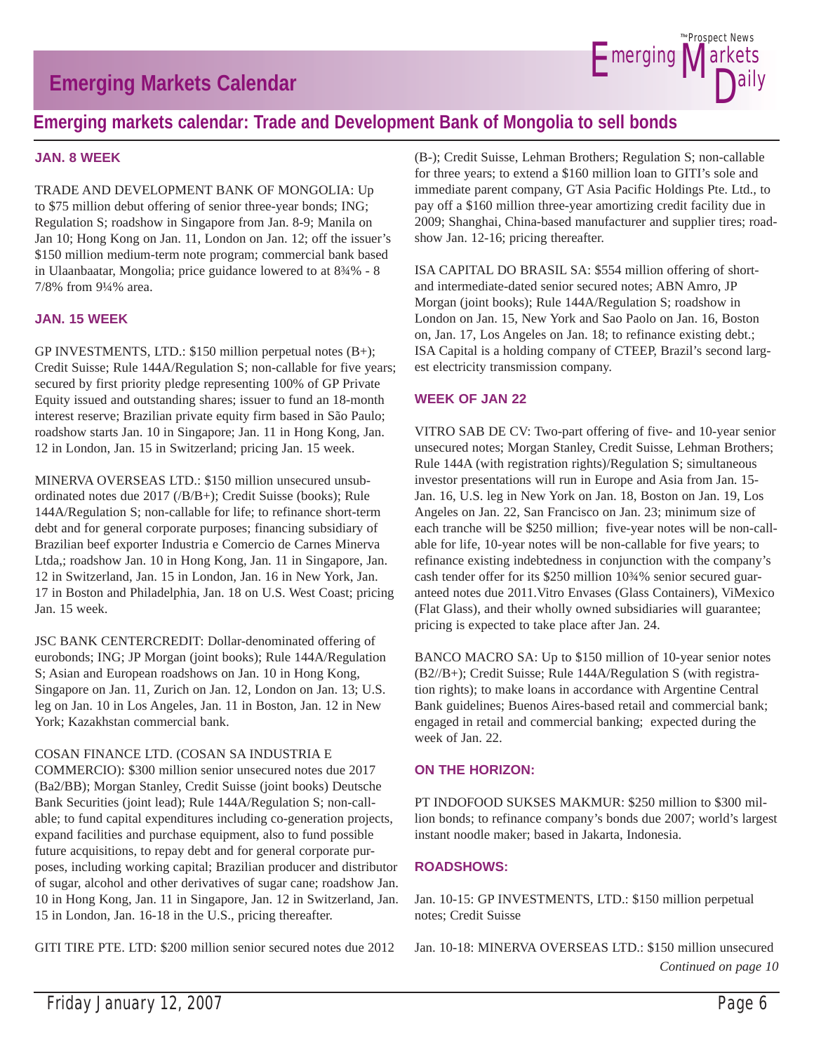# **Emerging Markets Calendar**



### **Emerging markets calendar: Trade and Development Bank of Mongolia to sell bonds**

#### **JAN. 8 WEEK**

TRADE AND DEVELOPMENT BANK OF MONGOLIA: Up to \$75 million debut offering of senior three-year bonds; ING; Regulation S; roadshow in Singapore from Jan. 8-9; Manila on Jan 10; Hong Kong on Jan. 11, London on Jan. 12; off the issuer's \$150 million medium-term note program; commercial bank based in Ulaanbaatar, Mongolia; price guidance lowered to at 8¾% - 8 7/8% from 9¼% area.

#### **JAN. 15 WEEK**

GP INVESTMENTS, LTD.: \$150 million perpetual notes (B+); Credit Suisse; Rule 144A/Regulation S; non-callable for five years; secured by first priority pledge representing 100% of GP Private Equity issued and outstanding shares; issuer to fund an 18-month interest reserve; Brazilian private equity firm based in São Paulo; roadshow starts Jan. 10 in Singapore; Jan. 11 in Hong Kong, Jan. 12 in London, Jan. 15 in Switzerland; pricing Jan. 15 week.

MINERVA OVERSEAS LTD.: \$150 million unsecured unsubordinated notes due 2017 (/B/B+); Credit Suisse (books); Rule 144A/Regulation S; non-callable for life; to refinance short-term debt and for general corporate purposes; financing subsidiary of Brazilian beef exporter Industria e Comercio de Carnes Minerva Ltda,; roadshow Jan. 10 in Hong Kong, Jan. 11 in Singapore, Jan. 12 in Switzerland, Jan. 15 in London, Jan. 16 in New York, Jan. 17 in Boston and Philadelphia, Jan. 18 on U.S. West Coast; pricing Jan. 15 week.

JSC BANK CENTERCREDIT: Dollar-denominated offering of eurobonds; ING; JP Morgan (joint books); Rule 144A/Regulation S; Asian and European roadshows on Jan. 10 in Hong Kong, Singapore on Jan. 11, Zurich on Jan. 12, London on Jan. 13; U.S. leg on Jan. 10 in Los Angeles, Jan. 11 in Boston, Jan. 12 in New York; Kazakhstan commercial bank.

#### COSAN FINANCE LTD. (COSAN SA INDUSTRIA E

COMMERCIO): \$300 million senior unsecured notes due 2017 (Ba2/BB); Morgan Stanley, Credit Suisse (joint books) Deutsche Bank Securities (joint lead); Rule 144A/Regulation S; non-callable; to fund capital expenditures including co-generation projects, expand facilities and purchase equipment, also to fund possible future acquisitions, to repay debt and for general corporate purposes, including working capital; Brazilian producer and distributor of sugar, alcohol and other derivatives of sugar cane; roadshow Jan. 10 in Hong Kong, Jan. 11 in Singapore, Jan. 12 in Switzerland, Jan. 15 in London, Jan. 16-18 in the U.S., pricing thereafter.

GITI TIRE PTE. LTD: \$200 million senior secured notes due 2012

(B-); Credit Suisse, Lehman Brothers; Regulation S; non-callable for three years; to extend a \$160 million loan to GITI's sole and immediate parent company, GT Asia Pacific Holdings Pte. Ltd., to pay off a \$160 million three-year amortizing credit facility due in 2009; Shanghai, China-based manufacturer and supplier tires; roadshow Jan. 12-16; pricing thereafter.

ISA CAPITAL DO BRASIL SA: \$554 million offering of shortand intermediate-dated senior secured notes; ABN Amro, JP Morgan (joint books); Rule 144A/Regulation S; roadshow in London on Jan. 15, New York and Sao Paolo on Jan. 16, Boston on, Jan. 17, Los Angeles on Jan. 18; to refinance existing debt.; ISA Capital is a holding company of CTEEP, Brazil's second largest electricity transmission company.

#### **WEEK OF JAN 22**

VITRO SAB DE CV: Two-part offering of five- and 10-year senior unsecured notes; Morgan Stanley, Credit Suisse, Lehman Brothers; Rule 144A (with registration rights)/Regulation S; simultaneous investor presentations will run in Europe and Asia from Jan. 15- Jan. 16, U.S. leg in New York on Jan. 18, Boston on Jan. 19, Los Angeles on Jan. 22, San Francisco on Jan. 23; minimum size of each tranche will be \$250 million; five-year notes will be non-callable for life, 10-year notes will be non-callable for five years; to refinance existing indebtedness in conjunction with the company's cash tender offer for its \$250 million 10¾% senior secured guaranteed notes due 2011.Vitro Envases (Glass Containers), ViMexico (Flat Glass), and their wholly owned subsidiaries will guarantee; pricing is expected to take place after Jan. 24.

BANCO MACRO SA: Up to \$150 million of 10-year senior notes (B2//B+); Credit Suisse; Rule 144A/Regulation S (with registration rights); to make loans in accordance with Argentine Central Bank guidelines; Buenos Aires-based retail and commercial bank; engaged in retail and commercial banking; expected during the week of Jan. 22.

#### **ON THE HORIZON:**

PT INDOFOOD SUKSES MAKMUR: \$250 million to \$300 million bonds; to refinance company's bonds due 2007; world's largest instant noodle maker; based in Jakarta, Indonesia.

#### **ROADSHOWS:**

Jan. 10-15: GP INVESTMENTS, LTD.: \$150 million perpetual notes; Credit Suisse

Jan. 10-18: MINERVA OVERSEAS LTD.: \$150 million unsecured *Continued on page 10*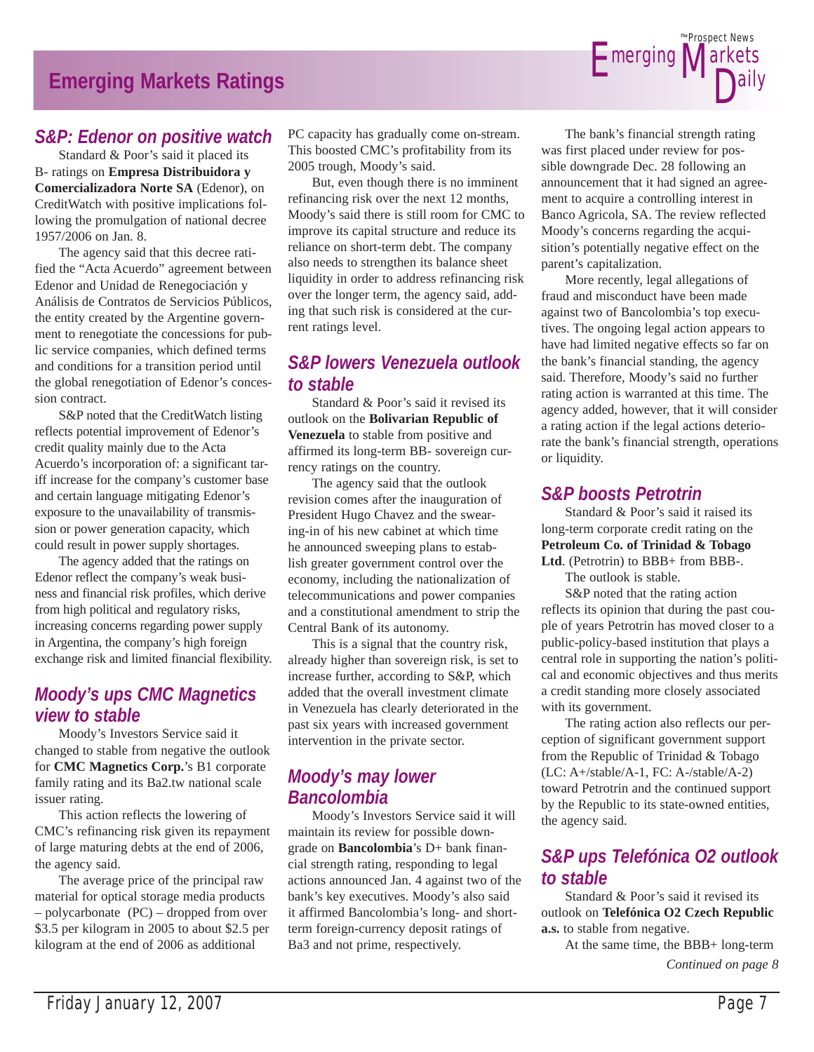# **Emerging Markets Ratings**

#### *S&P: Edenor on positive watch*

 Standard & Poor's said it placed its B- ratings on **Empresa Distribuidora y Comercializadora Norte SA** (Edenor), on CreditWatch with positive implications following the promulgation of national decree 1957/2006 on Jan. 8.

 The agency said that this decree ratified the "Acta Acuerdo" agreement between Edenor and Unidad de Renegociación y Análisis de Contratos de Servicios Públicos, the entity created by the Argentine government to renegotiate the concessions for public service companies, which defined terms and conditions for a transition period until the global renegotiation of Edenor's concession contract.

 S&P noted that the CreditWatch listing reflects potential improvement of Edenor's credit quality mainly due to the Acta Acuerdo's incorporation of: a significant tariff increase for the company's customer base and certain language mitigating Edenor's exposure to the unavailability of transmission or power generation capacity, which could result in power supply shortages.

 The agency added that the ratings on Edenor reflect the company's weak business and financial risk profiles, which derive from high political and regulatory risks, increasing concerns regarding power supply in Argentina, the company's high foreign exchange risk and limited financial flexibility.

### *Moody's ups CMC Magnetics view to stable*

 Moody's Investors Service said it changed to stable from negative the outlook for **CMC Magnetics Corp.**'s B1 corporate family rating and its Ba2.tw national scale issuer rating.

 This action reflects the lowering of CMC's refinancing risk given its repayment of large maturing debts at the end of 2006, the agency said.

 The average price of the principal raw material for optical storage media products – polycarbonate (PC) – dropped from over \$3.5 per kilogram in 2005 to about \$2.5 per kilogram at the end of 2006 as additional

PC capacity has gradually come on-stream. This boosted CMC's profitability from its 2005 trough, Moody's said.

 But, even though there is no imminent refinancing risk over the next 12 months, Moody's said there is still room for CMC to improve its capital structure and reduce its reliance on short-term debt. The company also needs to strengthen its balance sheet liquidity in order to address refinancing risk over the longer term, the agency said, adding that such risk is considered at the current ratings level.

### *S&P lowers Venezuela outlook to stable*

 Standard & Poor's said it revised its outlook on the **Bolivarian Republic of Venezuela** to stable from positive and affirmed its long-term BB- sovereign currency ratings on the country.

 The agency said that the outlook revision comes after the inauguration of President Hugo Chavez and the swearing-in of his new cabinet at which time he announced sweeping plans to establish greater government control over the economy, including the nationalization of telecommunications and power companies and a constitutional amendment to strip the Central Bank of its autonomy.

 This is a signal that the country risk, already higher than sovereign risk, is set to increase further, according to S&P, which added that the overall investment climate in Venezuela has clearly deteriorated in the past six years with increased government intervention in the private sector.

### *Moody's may lower Bancolombia*

 Moody's Investors Service said it will maintain its review for possible downgrade on **Bancolombia**'s D+ bank financial strength rating, responding to legal actions announced Jan. 4 against two of the bank's key executives. Moody's also said it affirmed Bancolombia's long- and shortterm foreign-currency deposit ratings of Ba3 and not prime, respectively.

 The bank's financial strength rating was first placed under review for possible downgrade Dec. 28 following an announcement that it had signed an agreement to acquire a controlling interest in Banco Agricola, SA. The review reflected Moody's concerns regarding the acquisition's potentially negative effect on the parent's capitalization.

**E**merging **Markets** 

Prospect News *The*

D<sub>ally</sub>

 More recently, legal allegations of fraud and misconduct have been made against two of Bancolombia's top executives. The ongoing legal action appears to have had limited negative effects so far on the bank's financial standing, the agency said. Therefore, Moody's said no further rating action is warranted at this time. The agency added, however, that it will consider a rating action if the legal actions deteriorate the bank's financial strength, operations or liquidity.

#### *S&P boosts Petrotrin*

 Standard & Poor's said it raised its long-term corporate credit rating on the **Petroleum Co. of Trinidad & Tobago**  Ltd. (Petrotrin) to BBB+ from BBB-.

The outlook is stable.

 S&P noted that the rating action reflects its opinion that during the past couple of years Petrotrin has moved closer to a public-policy-based institution that plays a central role in supporting the nation's political and economic objectives and thus merits a credit standing more closely associated with its government.

 The rating action also reflects our perception of significant government support from the Republic of Trinidad & Tobago (LC: A+/stable/A-1, FC: A-/stable/A-2) toward Petrotrin and the continued support by the Republic to its state-owned entities, the agency said.

### *S&P ups Telefónica O2 outlook to stable*

 Standard & Poor's said it revised its outlook on **Telefónica O2 Czech Republic a.s.** to stable from negative.

 At the same time, the BBB+ long-term *Continued on page 8*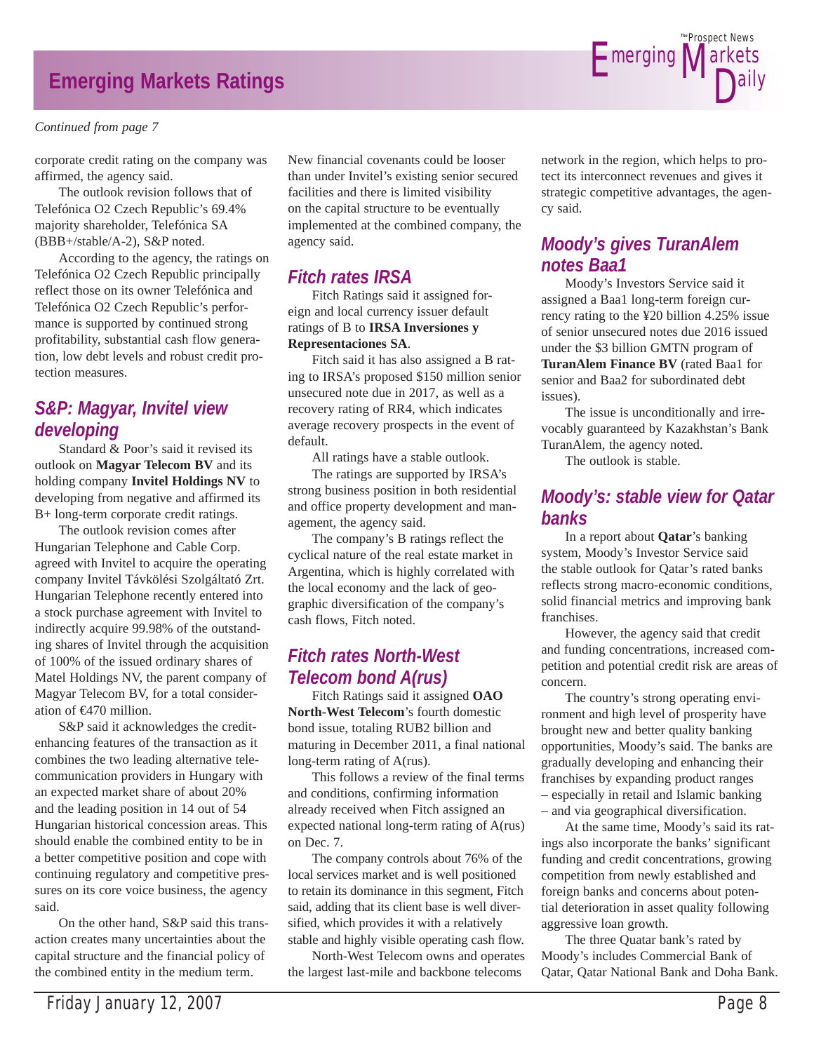# **Emerging Markets Ratings**

#### *Continued from page 7*

corporate credit rating on the company was affirmed, the agency said.

 The outlook revision follows that of Telefónica O2 Czech Republic's 69.4% majority shareholder, Telefónica SA (BBB+/stable/A-2), S&P noted.

 According to the agency, the ratings on Telefónica O2 Czech Republic principally reflect those on its owner Telefónica and Telefónica O2 Czech Republic's performance is supported by continued strong profitability, substantial cash flow generation, low debt levels and robust credit protection measures.

### *S&P: Magyar, Invitel view developing*

 Standard & Poor's said it revised its outlook on **Magyar Telecom BV** and its holding company **Invitel Holdings NV** to developing from negative and affirmed its B+ long-term corporate credit ratings.

 The outlook revision comes after Hungarian Telephone and Cable Corp. agreed with Invitel to acquire the operating company Invitel Távkölési Szolgáltató Zrt. Hungarian Telephone recently entered into a stock purchase agreement with Invitel to indirectly acquire 99.98% of the outstanding shares of Invitel through the acquisition of 100% of the issued ordinary shares of Matel Holdings NV, the parent company of Magyar Telecom BV, for a total consideration of €470 million.

 S&P said it acknowledges the creditenhancing features of the transaction as it combines the two leading alternative telecommunication providers in Hungary with an expected market share of about 20% and the leading position in 14 out of 54 Hungarian historical concession areas. This should enable the combined entity to be in a better competitive position and cope with continuing regulatory and competitive pressures on its core voice business, the agency said.

 On the other hand, S&P said this transaction creates many uncertainties about the capital structure and the financial policy of the combined entity in the medium term.

New financial covenants could be looser than under Invitel's existing senior secured facilities and there is limited visibility on the capital structure to be eventually implemented at the combined company, the agency said.

### *Fitch rates IRSA*

 Fitch Ratings said it assigned foreign and local currency issuer default ratings of B to **IRSA Inversiones y Representaciones SA**.

 Fitch said it has also assigned a B rating to IRSA's proposed \$150 million senior unsecured note due in 2017, as well as a recovery rating of RR4, which indicates average recovery prospects in the event of default.

All ratings have a stable outlook.

 The ratings are supported by IRSA's strong business position in both residential and office property development and management, the agency said.

 The company's B ratings reflect the cyclical nature of the real estate market in Argentina, which is highly correlated with the local economy and the lack of geographic diversification of the company's cash flows, Fitch noted.

### *Fitch rates North-West Telecom bond A(rus)*

 Fitch Ratings said it assigned **OAO North-West Telecom**'s fourth domestic bond issue, totaling RUB2 billion and maturing in December 2011, a final national long-term rating of A(rus).

 This follows a review of the final terms and conditions, confirming information already received when Fitch assigned an expected national long-term rating of A(rus) on Dec. 7.

 The company controls about 76% of the local services market and is well positioned to retain its dominance in this segment, Fitch said, adding that its client base is well diversified, which provides it with a relatively stable and highly visible operating cash flow.

 North-West Telecom owns and operates the largest last-mile and backbone telecoms

network in the region, which helps to protect its interconnect revenues and gives it strategic competitive advantages, the agency said.

**E**merging

Prospect News *The*

D<sub>ally</sub>

larkets

### *Moody's gives TuranAlem notes Baa1*

 Moody's Investors Service said it assigned a Baa1 long-term foreign currency rating to the ¥20 billion 4.25% issue of senior unsecured notes due 2016 issued under the \$3 billion GMTN program of **TuranAlem Finance BV** (rated Baa1 for senior and Baa2 for subordinated debt issues).

 The issue is unconditionally and irrevocably guaranteed by Kazakhstan's Bank TuranAlem, the agency noted.

The outlook is stable.

### *Moody's: stable view for Qatar banks*

 In a report about **Qatar**'s banking system, Moody's Investor Service said the stable outlook for Qatar's rated banks reflects strong macro-economic conditions, solid financial metrics and improving bank franchises.

 However, the agency said that credit and funding concentrations, increased competition and potential credit risk are areas of concern.

 The country's strong operating environment and high level of prosperity have brought new and better quality banking opportunities, Moody's said. The banks are gradually developing and enhancing their franchises by expanding product ranges – especially in retail and Islamic banking – and via geographical diversification.

 At the same time, Moody's said its ratings also incorporate the banks' significant funding and credit concentrations, growing competition from newly established and foreign banks and concerns about potential deterioration in asset quality following aggressive loan growth.

 The three Quatar bank's rated by Moody's includes Commercial Bank of Qatar, Qatar National Bank and Doha Bank.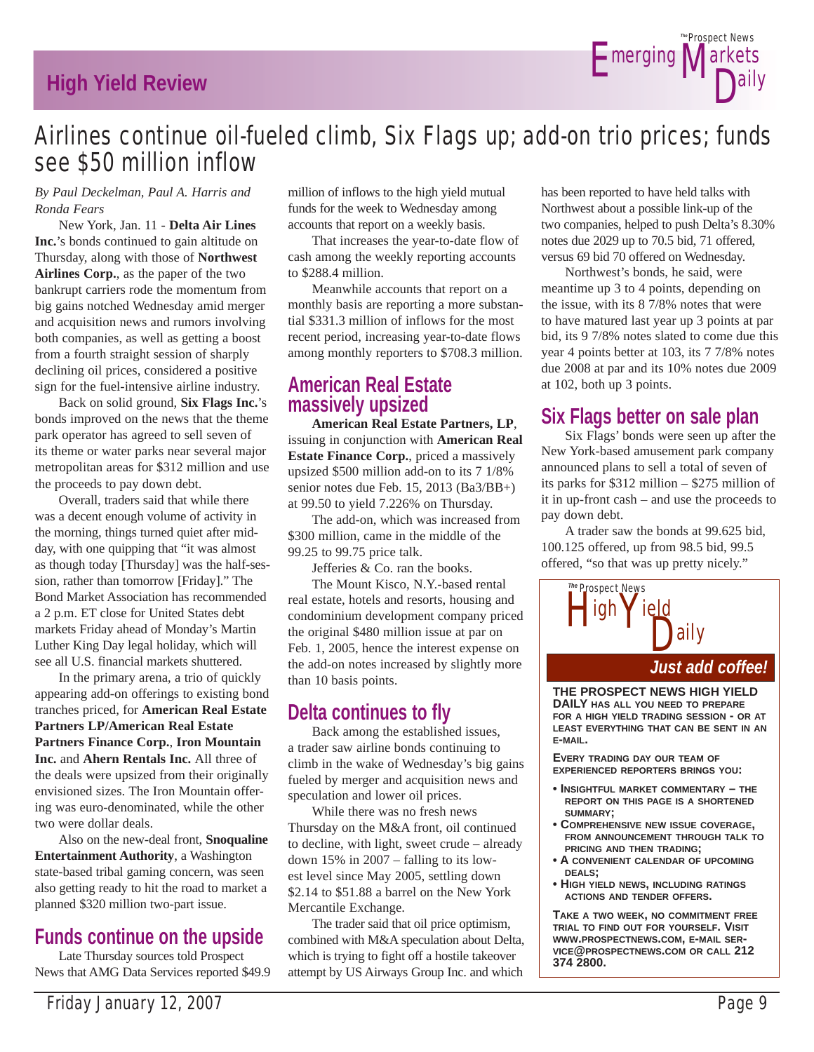# **High Yield Review**



# Airlines continue oil-fueled climb, Six Flags up; add-on trio prices; funds see \$50 million inflow

#### *By Paul Deckelman, Paul A. Harris and Ronda Fears*

 New York, Jan. 11 - **Delta Air Lines Inc.**'s bonds continued to gain altitude on Thursday, along with those of **Northwest Airlines Corp.**, as the paper of the two bankrupt carriers rode the momentum from big gains notched Wednesday amid merger and acquisition news and rumors involving both companies, as well as getting a boost from a fourth straight session of sharply declining oil prices, considered a positive sign for the fuel-intensive airline industry.

 Back on solid ground, **Six Flags Inc.**'s bonds improved on the news that the theme park operator has agreed to sell seven of its theme or water parks near several major metropolitan areas for \$312 million and use the proceeds to pay down debt.

 Overall, traders said that while there was a decent enough volume of activity in the morning, things turned quiet after midday, with one quipping that "it was almost as though today [Thursday] was the half-session, rather than tomorrow [Friday]." The Bond Market Association has recommended a 2 p.m. ET close for United States debt markets Friday ahead of Monday's Martin Luther King Day legal holiday, which will see all U.S. financial markets shuttered.

 In the primary arena, a trio of quickly appearing add-on offerings to existing bond tranches priced, for **American Real Estate Partners LP/American Real Estate Partners Finance Corp.**, **Iron Mountain Inc.** and **Ahern Rentals Inc.** All three of the deals were upsized from their originally envisioned sizes. The Iron Mountain offering was euro-denominated, while the other two were dollar deals.

 Also on the new-deal front, **Snoqualine Entertainment Authority**, a Washington state-based tribal gaming concern, was seen also getting ready to hit the road to market a planned \$320 million two-part issue.

# **Funds continue on the upside**

 Late Thursday sources told Prospect News that AMG Data Services reported \$49.9 million of inflows to the high yield mutual funds for the week to Wednesday among accounts that report on a weekly basis.

 That increases the year-to-date flow of cash among the weekly reporting accounts to \$288.4 million.

 Meanwhile accounts that report on a monthly basis are reporting a more substantial \$331.3 million of inflows for the most recent period, increasing year-to-date flows among monthly reporters to \$708.3 million.

### **American Real Estate massively upsized**

**American Real Estate Partners, LP**, issuing in conjunction with **American Real Estate Finance Corp.**, priced a massively upsized \$500 million add-on to its 7 1/8% senior notes due Feb. 15, 2013 (Ba3/BB+) at 99.50 to yield 7.226% on Thursday.

 The add-on, which was increased from \$300 million, came in the middle of the 99.25 to 99.75 price talk.

Jefferies & Co. ran the books.

 The Mount Kisco, N.Y.-based rental real estate, hotels and resorts, housing and condominium development company priced the original \$480 million issue at par on Feb. 1, 2005, hence the interest expense on the add-on notes increased by slightly more than 10 basis points.

# **Delta continues to fly**

 Back among the established issues, a trader saw airline bonds continuing to climb in the wake of Wednesday's big gains fueled by merger and acquisition news and speculation and lower oil prices.

 While there was no fresh news Thursday on the M&A front, oil continued to decline, with light, sweet crude – already down 15% in 2007 – falling to its lowest level since May 2005, settling down \$2.14 to \$51.88 a barrel on the New York Mercantile Exchange.

 The trader said that oil price optimism, combined with M&A speculation about Delta, which is trying to fight off a hostile takeover attempt by US Airways Group Inc. and which

has been reported to have held talks with Northwest about a possible link-up of the two companies, helped to push Delta's 8.30% notes due 2029 up to 70.5 bid, 71 offered, versus 69 bid 70 offered on Wednesday.

 Northwest's bonds, he said, were meantime up 3 to 4 points, depending on the issue, with its 8 7/8% notes that were to have matured last year up 3 points at par bid, its 9 7/8% notes slated to come due this year 4 points better at 103, its 7 7/8% notes due 2008 at par and its 10% notes due 2009 at 102, both up 3 points.

# **Six Flags better on sale plan**

 Six Flags' bonds were seen up after the New York-based amusement park company announced plans to sell a total of seven of its parks for \$312 million – \$275 million of it in up-front cash – and use the proceeds to pay down debt.

 A trader saw the bonds at 99.625 bid, 100.125 offered, up from 98.5 bid, 99.5 offered, "so that was up pretty nicely."



**THE PROSPECT NEWS HIGH YIELD DAILY HAS ALL YOU NEED TO PREPARE FOR A HIGH YIELD TRADING SESSION - OR AT LEAST EVERYTHING THAT CAN BE SENT IN AN E-MAIL.**

**EVERY TRADING DAY OUR TEAM OF EXPERIENCED REPORTERS BRINGS YOU:**

- **INSIGHTFUL MARKET COMMENTARY THE REPORT ON THIS PAGE IS A SHORTENED SUMMARY;**
- **COMPREHENSIVE NEW ISSUE COVERAGE, FROM ANNOUNCEMENT THROUGH TALK TO PRICING AND THEN TRADING;**
- **A CONVENIENT CALENDAR OF UPCOMING DEALS;**
- **HIGH YIELD NEWS, INCLUDING RATINGS ACTIONS AND TENDER OFFERS.**

**TAKE A TWO WEEK, NO COMMITMENT FREE TRIAL TO FIND OUT FOR YOURSELF. VISIT WWW.PROSPECTNEWS.COM, E-MAIL SER-VICE@PROSPECTNEWS.COM OR CALL 212 374 2800.**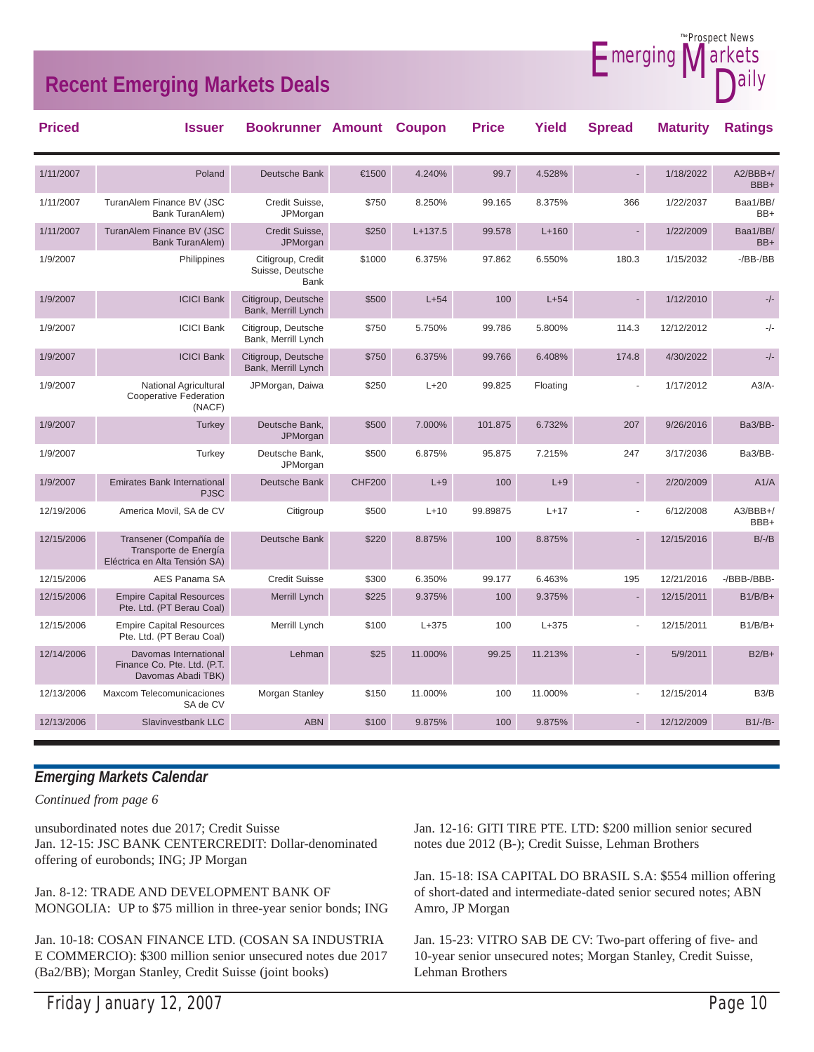# **Recent Emerging Markets Deals**



12/13/2006 Slavinvestbank LLC ABN \$100 9.875% 100 9.875% - 12/12/2009 B1/-/B-

#### *Emerging Markets Calendar*

12/13/2006 Maxcom Telecomunicaciones

*Continued from page 6*

unsubordinated notes due 2017; Credit Suisse Jan. 12-15: JSC BANK CENTERCREDIT: Dollar-denominated offering of eurobonds; ING; JP Morgan

SA de CV

Jan. 8-12: TRADE AND DEVELOPMENT BANK OF MONGOLIA: UP to \$75 million in three-year senior bonds; ING

Jan. 10-18: COSAN FINANCE LTD. (COSAN SA INDUSTRIA E COMMERCIO): \$300 million senior unsecured notes due 2017 (Ba2/BB); Morgan Stanley, Credit Suisse (joint books)

Jan. 12-16: GITI TIRE PTE. LTD: \$200 million senior secured notes due 2012 (B-); Credit Suisse, Lehman Brothers

Morgan Stanley  $$150$   $11.000\%$  100  $11.000\%$  - 12/15/2014 B3/B

Jan. 15-18: ISA CAPITAL DO BRASIL S.A: \$554 million offering of short-dated and intermediate-dated senior secured notes; ABN Amro, JP Morgan

Jan. 15-23: VITRO SAB DE CV: Two-part offering of five- and 10-year senior unsecured notes; Morgan Stanley, Credit Suisse, Lehman Brothers

Prospect News *The*

larkets